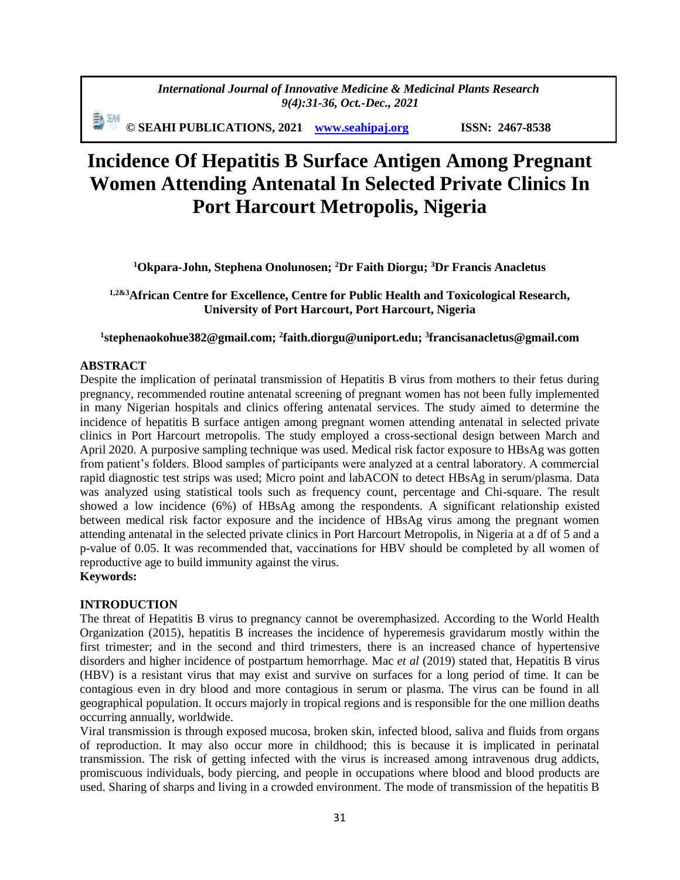*International Journal of Innovative Medicine & Medicinal Plants Research 9(4):31-36, Oct.-Dec., 2021*

勳 8세 **© SEAHI PUBLICATIONS, 2021 [www.seahipaj.org](http://www.seahipaj.org/) ISSN: 2467-8538**

# **Incidence Of Hepatitis B Surface Antigen Among Pregnant Women Attending Antenatal In Selected Private Clinics In Port Harcourt Metropolis, Nigeria**

**<sup>1</sup>Okpara-John, Stephena Onolunosen; <sup>2</sup>Dr Faith Diorgu; <sup>3</sup>Dr Francis Anacletus**

## **1,2&3African Centre for Excellence, Centre for Public Health and Toxicological Research, University of Port Harcourt, Port Harcourt, Nigeria**

#### **1 [stephenaokohue382@gmail.com;](mailto:Stephenaokohue382@gmail.com) <sup>2</sup> [faith.diorgu@uniport.edu;](mailto:Faith.diorgu@uniport.edu) <sup>3</sup> francisanacletus@gmail.com**

#### **ABSTRACT**

Despite the implication of perinatal transmission of Hepatitis B virus from mothers to their fetus during pregnancy, recommended routine antenatal screening of pregnant women has not been fully implemented in many Nigerian hospitals and clinics offering antenatal services. The study aimed to determine the incidence of hepatitis B surface antigen among pregnant women attending antenatal in selected private clinics in Port Harcourt metropolis. The study employed a cross-sectional design between March and April 2020. A purposive sampling technique was used. Medical risk factor exposure to HBsAg was gotten from patient's folders. Blood samples of participants were analyzed at a central laboratory. A commercial rapid diagnostic test strips was used; Micro point and labACON to detect HBsAg in serum/plasma. Data was analyzed using statistical tools such as frequency count, percentage and Chi-square. The result showed a low incidence (6%) of HBsAg among the respondents. A significant relationship existed between medical risk factor exposure and the incidence of HBsAg virus among the pregnant women attending antenatal in the selected private clinics in Port Harcourt Metropolis, in Nigeria at a df of 5 and a p-value of 0.05. It was recommended that, vaccinations for HBV should be completed by all women of reproductive age to build immunity against the virus.

## **Keywords:**

#### **INTRODUCTION**

The threat of Hepatitis B virus to pregnancy cannot be overemphasized. According to the World Health Organization (2015), hepatitis B increases the incidence of hyperemesis gravidarum mostly within the first trimester; and in the second and third trimesters, there is an increased chance of hypertensive disorders and higher incidence of postpartum hemorrhage. Mac *et al* (2019) stated that, Hepatitis B virus (HBV) is a resistant virus that may exist and survive on surfaces for a long period of time. It can be contagious even in dry blood and more contagious in serum or plasma. The virus can be found in all geographical population. It occurs majorly in tropical regions and is responsible for the one million deaths occurring annually, worldwide.

Viral transmission is through exposed mucosa, broken skin, infected blood, saliva and fluids from organs of reproduction. It may also occur more in childhood; this is because it is implicated in perinatal transmission. The risk of getting infected with the virus is increased among intravenous drug addicts, promiscuous individuals, body piercing, and people in occupations where blood and blood products are used. Sharing of sharps and living in a crowded environment. The mode of transmission of the hepatitis B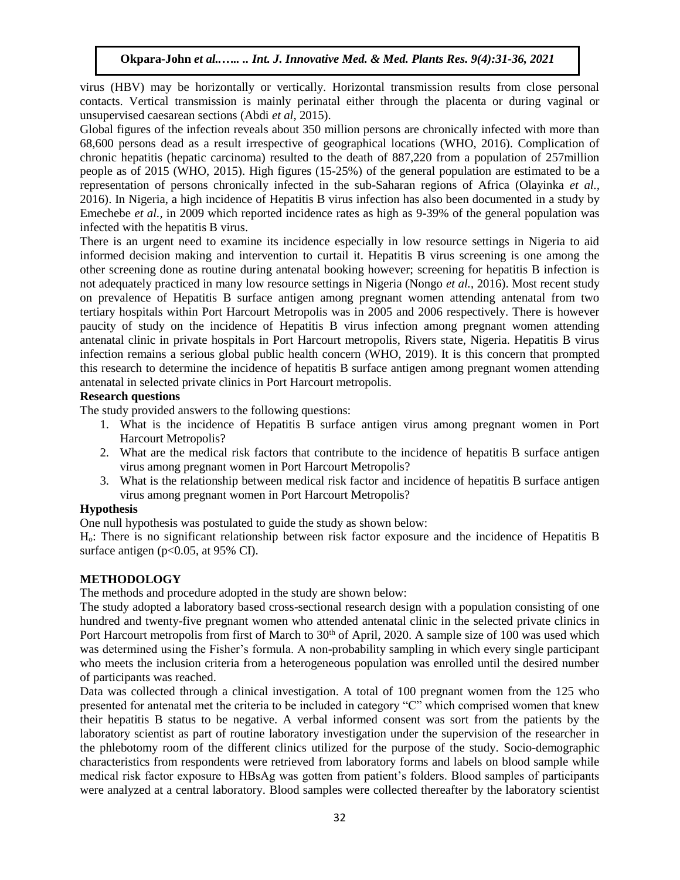virus (HBV) may be horizontally or vertically. Horizontal transmission results from close personal contacts. Vertical transmission is mainly perinatal either through the placenta or during vaginal or unsupervised caesarean sections (Abdi *et al*, 2015).

Global figures of the infection reveals about 350 million persons are chronically infected with more than 68,600 persons dead as a result irrespective of geographical locations (WHO, 2016). Complication of chronic hepatitis (hepatic carcinoma) resulted to the death of 887,220 from a population of 257million people as of 2015 (WHO, 2015). High figures (15-25%) of the general population are estimated to be a representation of persons chronically infected in the sub-Saharan regions of Africa (Olayinka *et al.,* 2016). In Nigeria, a high incidence of Hepatitis B virus infection has also been documented in a study by Emechebe *et al.,* in 2009 which reported incidence rates as high as 9-39% of the general population was infected with the hepatitis B virus.

There is an urgent need to examine its incidence especially in low resource settings in Nigeria to aid informed decision making and intervention to curtail it. Hepatitis B virus screening is one among the other screening done as routine during antenatal booking however; screening for hepatitis B infection is not adequately practiced in many low resource settings in Nigeria (Nongo *et al.*, 2016). Most recent study on prevalence of Hepatitis B surface antigen among pregnant women attending antenatal from two tertiary hospitals within Port Harcourt Metropolis was in 2005 and 2006 respectively. There is however paucity of study on the incidence of Hepatitis B virus infection among pregnant women attending antenatal clinic in private hospitals in Port Harcourt metropolis, Rivers state, Nigeria. Hepatitis B virus infection remains a serious global public health concern (WHO, 2019). It is this concern that prompted this research to determine the incidence of hepatitis B surface antigen among pregnant women attending antenatal in selected private clinics in Port Harcourt metropolis.

#### **Research questions**

The study provided answers to the following questions:

- 1. What is the incidence of Hepatitis B surface antigen virus among pregnant women in Port Harcourt Metropolis?
- 2. What are the medical risk factors that contribute to the incidence of hepatitis B surface antigen virus among pregnant women in Port Harcourt Metropolis?
- 3. What is the relationship between medical risk factor and incidence of hepatitis B surface antigen virus among pregnant women in Port Harcourt Metropolis?

#### **Hypothesis**

One null hypothesis was postulated to guide the study as shown below:

Ho: There is no significant relationship between risk factor exposure and the incidence of Hepatitis B surface antigen ( $p<0.05$ , at 95% CI).

#### **METHODOLOGY**

The methods and procedure adopted in the study are shown below:

The study adopted a laboratory based cross-sectional research design with a population consisting of one hundred and twenty-five pregnant women who attended antenatal clinic in the selected private clinics in Port Harcourt metropolis from first of March to 30<sup>th</sup> of April, 2020. A sample size of 100 was used which was determined using the Fisher's formula. A non-probability sampling in which every single participant who meets the inclusion criteria from a heterogeneous population was enrolled until the desired number of participants was reached.

Data was collected through a clinical investigation. A total of 100 pregnant women from the 125 who presented for antenatal met the criteria to be included in category "C" which comprised women that knew their hepatitis B status to be negative. A verbal informed consent was sort from the patients by the laboratory scientist as part of routine laboratory investigation under the supervision of the researcher in the phlebotomy room of the different clinics utilized for the purpose of the study. Socio-demographic characteristics from respondents were retrieved from laboratory forms and labels on blood sample while medical risk factor exposure to HBsAg was gotten from patient's folders. Blood samples of participants were analyzed at a central laboratory. Blood samples were collected thereafter by the laboratory scientist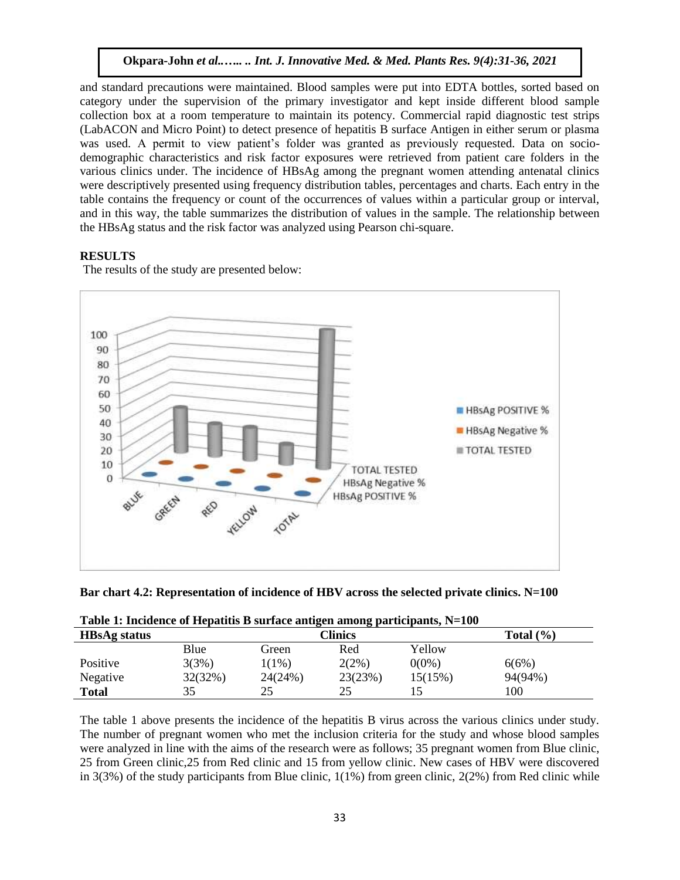and standard precautions were maintained. Blood samples were put into EDTA bottles, sorted based on category under the supervision of the primary investigator and kept inside different blood sample collection box at a room temperature to maintain its potency. Commercial rapid diagnostic test strips (LabACON and Micro Point) to detect presence of hepatitis B surface Antigen in either serum or plasma was used. A permit to view patient's folder was granted as previously requested. Data on sociodemographic characteristics and risk factor exposures were retrieved from patient care folders in the various clinics under. The incidence of HBsAg among the pregnant women attending antenatal clinics were descriptively presented using frequency distribution tables, percentages and charts. Each entry in the table contains the frequency or count of the occurrences of values within a particular group or interval, and in this way, the table summarizes the distribution of values in the sample. The relationship between the HBsAg status and the risk factor was analyzed using Pearson chi-square.

## **RESULTS**



The results of the study are presented below:

| Bar chart 4.2: Representation of incidence of HBV across the selected private clinics. N=100 |  |  |  |
|----------------------------------------------------------------------------------------------|--|--|--|
|----------------------------------------------------------------------------------------------|--|--|--|

| Table 1: Incluence of Hepatius B surface anugen among participants, N=100 |         |                          |         |          |         |  |  |
|---------------------------------------------------------------------------|---------|--------------------------|---------|----------|---------|--|--|
| <b>HBsAg status</b>                                                       |         | Clinics<br>Total $(\% )$ |         |          |         |  |  |
|                                                                           | Blue    | Green                    | Red     | Yellow   |         |  |  |
| Positive                                                                  | 3(3%)   | $1(1\%)$                 | 2(2%)   | $0(0\%)$ | 6(6%)   |  |  |
| Negative                                                                  | 32(32%) | 24(24%)                  | 23(23%) | 15(15%)  | 94(94%) |  |  |
| <b>Total</b>                                                              | 35      | 25                       | 25      |          | 100     |  |  |

|  | Table 1: Incidence of Hepatitis B surface antigen among participants, N=100 |  |  |  |  |
|--|-----------------------------------------------------------------------------|--|--|--|--|
|  |                                                                             |  |  |  |  |

The table 1 above presents the incidence of the hepatitis B virus across the various clinics under study. The number of pregnant women who met the inclusion criteria for the study and whose blood samples were analyzed in line with the aims of the research were as follows; 35 pregnant women from Blue clinic, 25 from Green clinic,25 from Red clinic and 15 from yellow clinic. New cases of HBV were discovered in  $3(3%)$  of the study participants from Blue clinic,  $1(1%)$  from green clinic,  $2(2%)$  from Red clinic while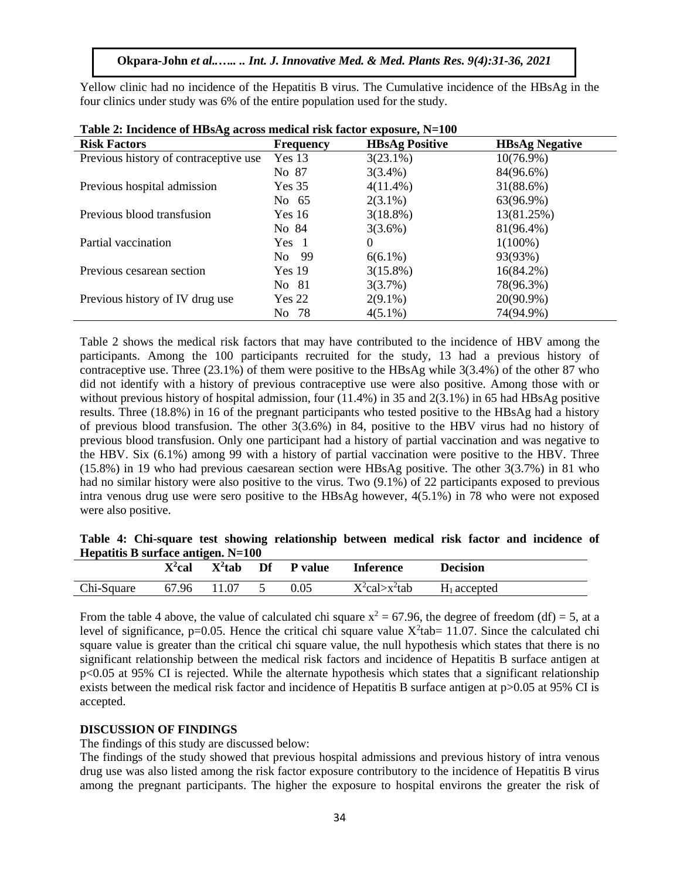Yellow clinic had no incidence of the Hepatitis B virus. The Cumulative incidence of the HBsAg in the four clinics under study was 6% of the entire population used for the study.

| <b>Risk Factors</b>                   | <b>Frequency</b>  | <b>HBsAg Positive</b> | <b>HBsAg Negative</b> |
|---------------------------------------|-------------------|-----------------------|-----------------------|
| Previous history of contraceptive use | Yes <sub>13</sub> | $3(23.1\%)$           | $10(76.9\%)$          |
|                                       | No 87             | $3(3.4\%)$            | 84(96.6%)             |
| Previous hospital admission           | Yes 35            | $4(11.4\%)$           | 31(88.6%)             |
|                                       | No 65             | $2(3.1\%)$            | 63(96.9%)             |
| Previous blood transfusion            | Yes 16            | $3(18.8\%)$           | 13(81.25%)            |
|                                       | No 84             | $3(3.6\%)$            | 81(96.4%)             |
| Partial vaccination                   | Yes 1             | $\Omega$              | $1(100\%)$            |
|                                       | No 99             | $6(6.1\%)$            | 93(93%)               |
| Previous cesarean section             | Yes 19            | $3(15.8\%)$           | $16(84.2\%)$          |
|                                       | No 81             | 3(3.7%)               | 78(96.3%)             |
| Previous history of IV drug use       | Yes 22            | $2(9.1\%)$            | 20(90.9%)             |
|                                       | No 78             | $4(5.1\%)$            | 74(94.9%)             |

|  | Table 2: Incidence of HBsAg across medical risk factor exposure, N=100 |
|--|------------------------------------------------------------------------|
|  |                                                                        |

Table 2 shows the medical risk factors that may have contributed to the incidence of HBV among the participants. Among the 100 participants recruited for the study, 13 had a previous history of contraceptive use. Three (23.1%) of them were positive to the HBsAg while 3(3.4%) of the other 87 who did not identify with a history of previous contraceptive use were also positive. Among those with or without previous history of hospital admission, four  $(11.4\%)$  in 35 and  $2(3.1\%)$  in 65 had HBsAg positive results. Three (18.8%) in 16 of the pregnant participants who tested positive to the HBsAg had a history of previous blood transfusion. The other 3(3.6%) in 84, positive to the HBV virus had no history of previous blood transfusion. Only one participant had a history of partial vaccination and was negative to the HBV. Six (6.1%) among 99 with a history of partial vaccination were positive to the HBV. Three (15.8%) in 19 who had previous caesarean section were HBsAg positive. The other 3(3.7%) in 81 who had no similar history were also positive to the virus. Two  $(9.1\%)$  of 22 participants exposed to previous intra venous drug use were sero positive to the HBsAg however, 4(5.1%) in 78 who were not exposed were also positive.

#### **Table 4: Chi-square test showing relationship between medical risk factor and incidence of Hepatitis B surface antigen. N=100**

|            | $X^2$ cal | $X^2$ tab | Df | <b>P</b> value | <b>Inference</b>        | <b>Decision</b> |
|------------|-----------|-----------|----|----------------|-------------------------|-----------------|
| Chi-Square | 67.96     | 11.07     |    | 0.05           | $X^2$ cal $\gt x^2$ tab | $H_1$ accepted  |

From the table 4 above, the value of calculated chi square  $x^2 = 67.96$ , the degree of freedom (df) = 5, at a level of significance, p=0.05. Hence the critical chi square value  $X^2$ tab= 11.07. Since the calculated chi square value is greater than the critical chi square value, the null hypothesis which states that there is no significant relationship between the medical risk factors and incidence of Hepatitis B surface antigen at p<0.05 at 95% CI is rejected. While the alternate hypothesis which states that a significant relationship exists between the medical risk factor and incidence of Hepatitis B surface antigen at  $p>0.05$  at 95% CI is accepted.

#### **DISCUSSION OF FINDINGS**

The findings of this study are discussed below:

The findings of the study showed that previous hospital admissions and previous history of intra venous drug use was also listed among the risk factor exposure contributory to the incidence of Hepatitis B virus among the pregnant participants. The higher the exposure to hospital environs the greater the risk of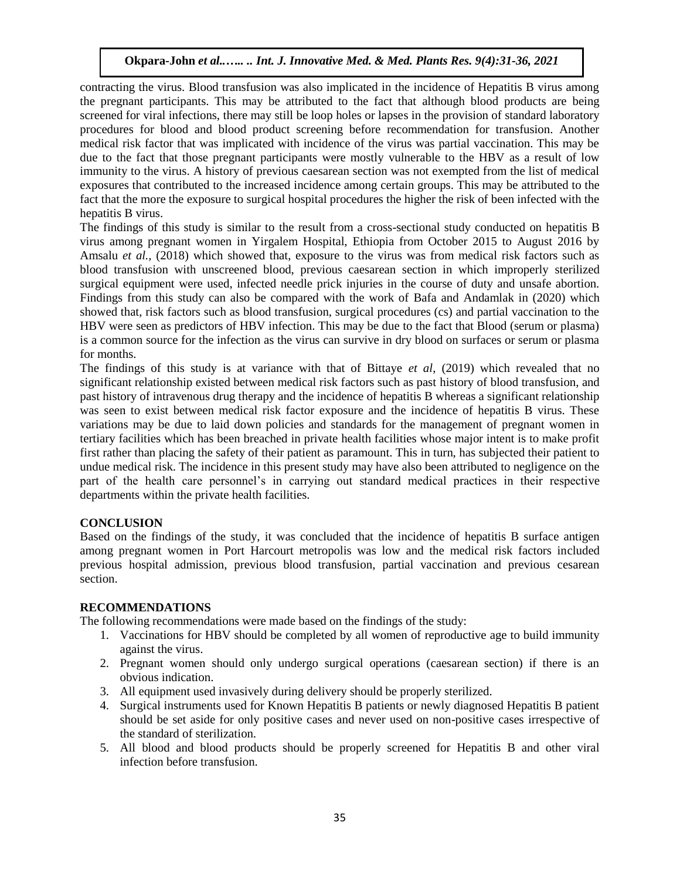contracting the virus. Blood transfusion was also implicated in the incidence of Hepatitis B virus among the pregnant participants. This may be attributed to the fact that although blood products are being screened for viral infections, there may still be loop holes or lapses in the provision of standard laboratory procedures for blood and blood product screening before recommendation for transfusion. Another medical risk factor that was implicated with incidence of the virus was partial vaccination. This may be due to the fact that those pregnant participants were mostly vulnerable to the HBV as a result of low immunity to the virus. A history of previous caesarean section was not exempted from the list of medical exposures that contributed to the increased incidence among certain groups. This may be attributed to the fact that the more the exposure to surgical hospital procedures the higher the risk of been infected with the hepatitis B virus.

The findings of this study is similar to the result from a cross-sectional study conducted on hepatitis B virus among pregnant women in Yirgalem Hospital, Ethiopia from October 2015 to August 2016 by Amsalu *et al.,* (2018) which showed that, exposure to the virus was from medical risk factors such as blood transfusion with unscreened blood, previous caesarean section in which improperly sterilized surgical equipment were used, infected needle prick injuries in the course of duty and unsafe abortion. Findings from this study can also be compared with the work of Bafa and Andamlak in (2020) which showed that, risk factors such as blood transfusion, surgical procedures (cs) and partial vaccination to the HBV were seen as predictors of HBV infection. This may be due to the fact that Blood (serum or plasma) is a common source for the infection as the virus can survive in dry blood on surfaces or serum or plasma for months.

The findings of this study is at variance with that of Bittaye *et al*, (2019) which revealed that no significant relationship existed between medical risk factors such as past history of blood transfusion, and past history of intravenous drug therapy and the incidence of hepatitis B whereas a significant relationship was seen to exist between medical risk factor exposure and the incidence of hepatitis B virus. These variations may be due to laid down policies and standards for the management of pregnant women in tertiary facilities which has been breached in private health facilities whose major intent is to make profit first rather than placing the safety of their patient as paramount. This in turn, has subjected their patient to undue medical risk. The incidence in this present study may have also been attributed to negligence on the part of the health care personnel's in carrying out standard medical practices in their respective departments within the private health facilities.

#### **CONCLUSION**

Based on the findings of the study, it was concluded that the incidence of hepatitis B surface antigen among pregnant women in Port Harcourt metropolis was low and the medical risk factors included previous hospital admission, previous blood transfusion, partial vaccination and previous cesarean section.

#### **RECOMMENDATIONS**

The following recommendations were made based on the findings of the study:

- 1. Vaccinations for HBV should be completed by all women of reproductive age to build immunity against the virus.
- 2. Pregnant women should only undergo surgical operations (caesarean section) if there is an obvious indication.
- 3. All equipment used invasively during delivery should be properly sterilized.
- 4. Surgical instruments used for Known Hepatitis B patients or newly diagnosed Hepatitis B patient should be set aside for only positive cases and never used on non-positive cases irrespective of the standard of sterilization.
- 5. All blood and blood products should be properly screened for Hepatitis B and other viral infection before transfusion.